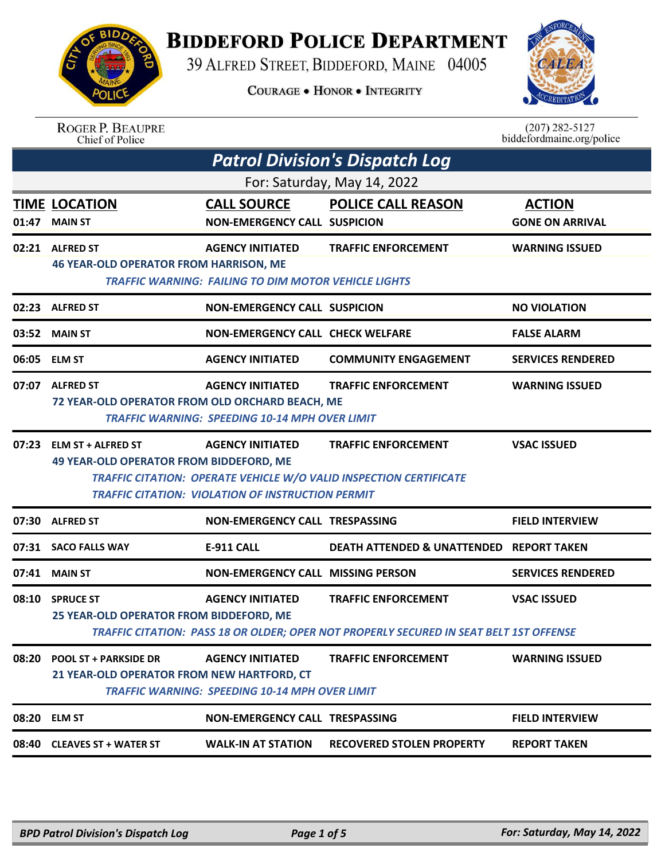

## **BIDDEFORD POLICE DEPARTMENT**

39 ALFRED STREET, BIDDEFORD, MAINE 04005

**COURAGE . HONOR . INTEGRITY** 



| <b>ROGER P. BEAUPRE</b> |
|-------------------------|
| Chief of Police         |

 $(207)$  282-5127 biddefordmaine.org/police

|       | <b>Patrol Division's Dispatch Log</b>                                                                                                                                                                                                                                                       |                                                                                        |                                                                                                                      |                                         |  |  |  |
|-------|---------------------------------------------------------------------------------------------------------------------------------------------------------------------------------------------------------------------------------------------------------------------------------------------|----------------------------------------------------------------------------------------|----------------------------------------------------------------------------------------------------------------------|-----------------------------------------|--|--|--|
|       | For: Saturday, May 14, 2022                                                                                                                                                                                                                                                                 |                                                                                        |                                                                                                                      |                                         |  |  |  |
| 01:47 | <b>TIME LOCATION</b><br><b>MAIN ST</b>                                                                                                                                                                                                                                                      | <b>CALL SOURCE</b><br><b>NON-EMERGENCY CALL SUSPICION</b>                              | <b>POLICE CALL REASON</b>                                                                                            | <b>ACTION</b><br><b>GONE ON ARRIVAL</b> |  |  |  |
|       | 02:21 ALFRED ST<br><b>46 YEAR-OLD OPERATOR FROM HARRISON, ME</b>                                                                                                                                                                                                                            | <b>AGENCY INITIATED</b><br><b>TRAFFIC WARNING: FAILING TO DIM MOTOR VEHICLE LIGHTS</b> | <b>TRAFFIC ENFORCEMENT</b>                                                                                           | <b>WARNING ISSUED</b>                   |  |  |  |
|       | 02:23 ALFRED ST                                                                                                                                                                                                                                                                             | <b>NON-EMERGENCY CALL SUSPICION</b>                                                    |                                                                                                                      | <b>NO VIOLATION</b>                     |  |  |  |
| 03:52 | <b>MAIN ST</b>                                                                                                                                                                                                                                                                              | <b>NON-EMERGENCY CALL CHECK WELFARE</b>                                                |                                                                                                                      | <b>FALSE ALARM</b>                      |  |  |  |
|       | 06:05 ELM ST                                                                                                                                                                                                                                                                                | <b>AGENCY INITIATED</b>                                                                | <b>COMMUNITY ENGAGEMENT</b>                                                                                          | <b>SERVICES RENDERED</b>                |  |  |  |
|       | 07:07 ALFRED ST<br><b>AGENCY INITIATED</b><br><b>TRAFFIC ENFORCEMENT</b><br><b>WARNING ISSUED</b><br>72 YEAR-OLD OPERATOR FROM OLD ORCHARD BEACH, ME<br><b>TRAFFIC WARNING: SPEEDING 10-14 MPH OVER LIMIT</b>                                                                               |                                                                                        |                                                                                                                      |                                         |  |  |  |
|       | 07:23 ELM ST + ALFRED ST<br><b>AGENCY INITIATED</b><br><b>TRAFFIC ENFORCEMENT</b><br><b>VSAC ISSUED</b><br><b>49 YEAR-OLD OPERATOR FROM BIDDEFORD, ME</b><br>TRAFFIC CITATION: OPERATE VEHICLE W/O VALID INSPECTION CERTIFICATE<br><b>TRAFFIC CITATION: VIOLATION OF INSTRUCTION PERMIT</b> |                                                                                        |                                                                                                                      |                                         |  |  |  |
|       | 07:30 ALFRED ST                                                                                                                                                                                                                                                                             | <b>NON-EMERGENCY CALL TRESPASSING</b>                                                  |                                                                                                                      | <b>FIELD INTERVIEW</b>                  |  |  |  |
|       | 07:31 SACO FALLS WAY                                                                                                                                                                                                                                                                        | <b>E-911 CALL</b>                                                                      | <b>DEATH ATTENDED &amp; UNATTENDED REPORT TAKEN</b>                                                                  |                                         |  |  |  |
|       | 07:41 MAIN ST                                                                                                                                                                                                                                                                               | <b>NON-EMERGENCY CALL MISSING PERSON</b>                                               |                                                                                                                      | <b>SERVICES RENDERED</b>                |  |  |  |
|       | 08:10 SPRUCE ST<br>25 YEAR-OLD OPERATOR FROM BIDDEFORD, ME                                                                                                                                                                                                                                  | <b>AGENCY INITIATED</b>                                                                | <b>TRAFFIC ENFORCEMENT</b><br>TRAFFIC CITATION: PASS 18 OR OLDER; OPER NOT PROPERLY SECURED IN SEAT BELT 1ST OFFENSE | <b>VSAC ISSUED</b>                      |  |  |  |
| 08:20 | <b>POOL ST + PARKSIDE DR</b><br>21 YEAR-OLD OPERATOR FROM NEW HARTFORD, CT                                                                                                                                                                                                                  | <b>AGENCY INITIATED</b><br><b>TRAFFIC WARNING: SPEEDING 10-14 MPH OVER LIMIT</b>       | <b>TRAFFIC ENFORCEMENT</b>                                                                                           | <b>WARNING ISSUED</b>                   |  |  |  |
| 08:20 | <b>ELM ST</b>                                                                                                                                                                                                                                                                               | <b>NON-EMERGENCY CALL TRESPASSING</b>                                                  |                                                                                                                      | <b>FIELD INTERVIEW</b>                  |  |  |  |
| 08:40 | <b>CLEAVES ST + WATER ST</b>                                                                                                                                                                                                                                                                | <b>WALK-IN AT STATION</b>                                                              | <b>RECOVERED STOLEN PROPERTY</b>                                                                                     | <b>REPORT TAKEN</b>                     |  |  |  |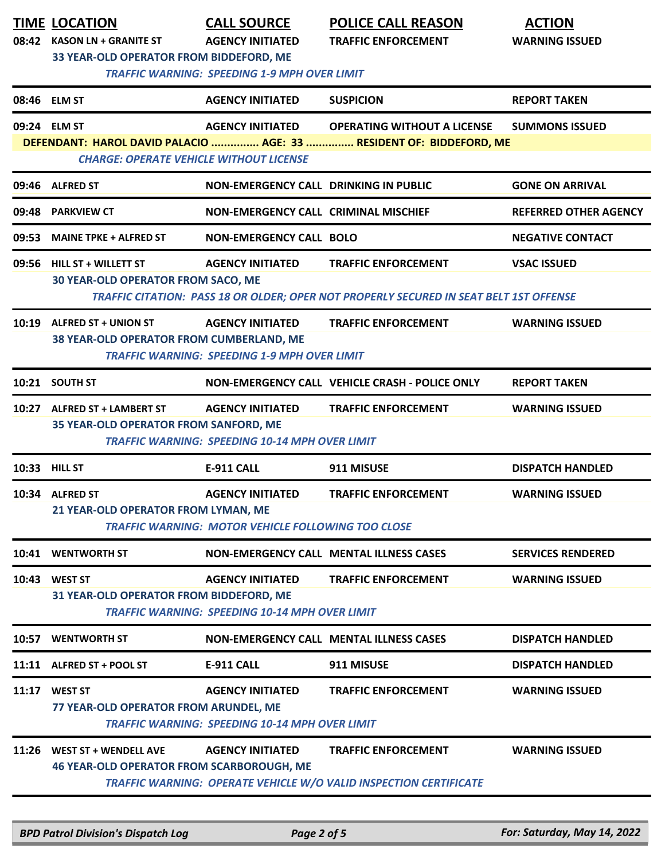|       | <b>TIME LOCATION</b><br>08:42 KASON LN + GRANITE ST<br>33 YEAR-OLD OPERATOR FROM BIDDEFORD, ME | <b>CALL SOURCE</b><br><b>AGENCY INITIATED</b><br><b>TRAFFIC WARNING: SPEEDING 1-9 MPH OVER LIMIT</b> | <b>POLICE CALL REASON</b><br><b>TRAFFIC ENFORCEMENT</b>                                                              | <b>ACTION</b><br><b>WARNING ISSUED</b> |
|-------|------------------------------------------------------------------------------------------------|------------------------------------------------------------------------------------------------------|----------------------------------------------------------------------------------------------------------------------|----------------------------------------|
|       | 08:46 ELM ST                                                                                   | <b>AGENCY INITIATED</b>                                                                              | <b>SUSPICION</b>                                                                                                     | <b>REPORT TAKEN</b>                    |
|       | 09:24 ELM ST<br><b>CHARGE: OPERATE VEHICLE WITHOUT LICENSE</b>                                 | <b>AGENCY INITIATED</b>                                                                              | <b>OPERATING WITHOUT A LICENSE</b><br>DEFENDANT: HAROL DAVID PALACIO  AGE: 33  RESIDENT OF: BIDDEFORD, ME            | <b>SUMMONS ISSUED</b>                  |
|       | 09:46 ALFRED ST                                                                                | <b>NON-EMERGENCY CALL DRINKING IN PUBLIC</b>                                                         |                                                                                                                      | <b>GONE ON ARRIVAL</b>                 |
|       | 09:48 PARKVIEW CT                                                                              | <b>NON-EMERGENCY CALL CRIMINAL MISCHIEF</b>                                                          |                                                                                                                      | <b>REFERRED OTHER AGENCY</b>           |
| 09:53 | <b>MAINE TPKE + ALFRED ST</b>                                                                  | <b>NON-EMERGENCY CALL BOLO</b>                                                                       |                                                                                                                      | <b>NEGATIVE CONTACT</b>                |
|       | 09:56 HILL ST + WILLETT ST<br><b>30 YEAR-OLD OPERATOR FROM SACO, ME</b>                        | <b>AGENCY INITIATED</b>                                                                              | <b>TRAFFIC ENFORCEMENT</b><br>TRAFFIC CITATION: PASS 18 OR OLDER; OPER NOT PROPERLY SECURED IN SEAT BELT 1ST OFFENSE | <b>VSAC ISSUED</b>                     |
|       | 10:19 ALFRED ST + UNION ST<br>38 YEAR-OLD OPERATOR FROM CUMBERLAND, ME                         | <b>AGENCY INITIATED</b><br><b>TRAFFIC WARNING: SPEEDING 1-9 MPH OVER LIMIT</b>                       | <b>TRAFFIC ENFORCEMENT</b>                                                                                           | <b>WARNING ISSUED</b>                  |
|       | 10:21 SOUTH ST                                                                                 |                                                                                                      | NON-EMERGENCY CALL VEHICLE CRASH - POLICE ONLY                                                                       | <b>REPORT TAKEN</b>                    |
|       | 10:27 ALFRED ST + LAMBERT ST<br><b>35 YEAR-OLD OPERATOR FROM SANFORD, ME</b>                   | <b>AGENCY INITIATED</b><br><b>TRAFFIC WARNING: SPEEDING 10-14 MPH OVER LIMIT</b>                     | <b>TRAFFIC ENFORCEMENT</b>                                                                                           | <b>WARNING ISSUED</b>                  |
|       | 10:33 HILL ST                                                                                  | <b>E-911 CALL</b>                                                                                    | 911 MISUSE                                                                                                           | <b>DISPATCH HANDLED</b>                |
|       | 10:34 ALFRED ST<br>21 YEAR-OLD OPERATOR FROM LYMAN, ME                                         | <b>AGENCY INITIATED</b><br><b>TRAFFIC WARNING: MOTOR VEHICLE FOLLOWING TOO CLOSE</b>                 | <b>TRAFFIC ENFORCEMENT</b>                                                                                           | <b>WARNING ISSUED</b>                  |
|       | 10:41 WENTWORTH ST                                                                             |                                                                                                      | NON-EMERGENCY CALL MENTAL ILLNESS CASES                                                                              | <b>SERVICES RENDERED</b>               |
|       | <b>10:43 WEST ST</b><br>31 YEAR-OLD OPERATOR FROM BIDDEFORD, ME                                | <b>AGENCY INITIATED</b><br><b>TRAFFIC WARNING: SPEEDING 10-14 MPH OVER LIMIT</b>                     | <b>TRAFFIC ENFORCEMENT</b>                                                                                           | <b>WARNING ISSUED</b>                  |
|       | 10:57 WENTWORTH ST                                                                             |                                                                                                      | <b>NON-EMERGENCY CALL MENTAL ILLNESS CASES</b>                                                                       | <b>DISPATCH HANDLED</b>                |
|       | 11:11 ALFRED ST + POOL ST                                                                      | <b>E-911 CALL</b>                                                                                    | 911 MISUSE                                                                                                           | <b>DISPATCH HANDLED</b>                |
|       | 11:17 WEST ST<br>77 YEAR-OLD OPERATOR FROM ARUNDEL, ME                                         | <b>AGENCY INITIATED</b><br><b>TRAFFIC WARNING: SPEEDING 10-14 MPH OVER LIMIT</b>                     | <b>TRAFFIC ENFORCEMENT</b>                                                                                           | <b>WARNING ISSUED</b>                  |
|       | 11:26 WEST ST + WENDELL AVE<br><b>46 YEAR-OLD OPERATOR FROM SCARBOROUGH, ME</b>                | <b>AGENCY INITIATED</b>                                                                              | <b>TRAFFIC ENFORCEMENT</b><br>TRAFFIC WARNING: OPERATE VEHICLE W/O VALID INSPECTION CERTIFICATE                      | <b>WARNING ISSUED</b>                  |

*BPD Patrol Division's Dispatch Log Page 2 of 5 For: Saturday, May 14, 2022*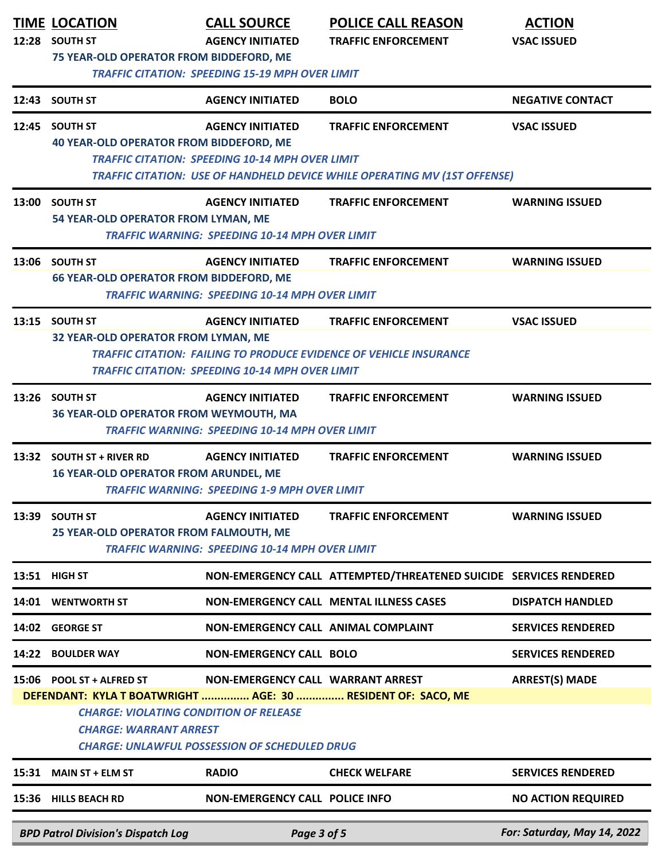|       | <b>TIME LOCATION</b><br>12:28 SOUTH ST<br>75 YEAR-OLD OPERATOR FROM BIDDEFORD, ME                                                                                                                                                                                                                 | <b>CALL SOURCE</b><br><b>AGENCY INITIATED</b>                                     | <b>POLICE CALL REASON</b><br><b>TRAFFIC ENFORCEMENT</b>                                                 | <b>ACTION</b><br><b>VSAC ISSUED</b> |  |  |
|-------|---------------------------------------------------------------------------------------------------------------------------------------------------------------------------------------------------------------------------------------------------------------------------------------------------|-----------------------------------------------------------------------------------|---------------------------------------------------------------------------------------------------------|-------------------------------------|--|--|
|       | 12:43 SOUTH ST                                                                                                                                                                                                                                                                                    | <b>TRAFFIC CITATION: SPEEDING 15-19 MPH OVER LIMIT</b><br><b>AGENCY INITIATED</b> | <b>BOLO</b>                                                                                             | <b>NEGATIVE CONTACT</b>             |  |  |
|       | 12:45 SOUTH ST<br><b>40 YEAR-OLD OPERATOR FROM BIDDEFORD, ME</b>                                                                                                                                                                                                                                  | <b>AGENCY INITIATED</b><br><b>TRAFFIC CITATION: SPEEDING 10-14 MPH OVER LIMIT</b> | <b>TRAFFIC ENFORCEMENT</b><br>TRAFFIC CITATION: USE OF HANDHELD DEVICE WHILE OPERATING MV (1ST OFFENSE) | <b>VSAC ISSUED</b>                  |  |  |
|       | 13:00 SOUTH ST<br>54 YEAR-OLD OPERATOR FROM LYMAN, ME                                                                                                                                                                                                                                             | <b>AGENCY INITIATED</b><br><b>TRAFFIC WARNING: SPEEDING 10-14 MPH OVER LIMIT</b>  | <b>TRAFFIC ENFORCEMENT</b>                                                                              | <b>WARNING ISSUED</b>               |  |  |
|       | 13:06 SOUTH ST<br><b>66 YEAR-OLD OPERATOR FROM BIDDEFORD, ME</b>                                                                                                                                                                                                                                  | <b>AGENCY INITIATED</b><br><b>TRAFFIC WARNING: SPEEDING 10-14 MPH OVER LIMIT</b>  | <b>TRAFFIC ENFORCEMENT</b>                                                                              | <b>WARNING ISSUED</b>               |  |  |
|       | 13:15 SOUTH ST<br>32 YEAR-OLD OPERATOR FROM LYMAN, ME                                                                                                                                                                                                                                             | <b>AGENCY INITIATED</b><br><b>TRAFFIC CITATION: SPEEDING 10-14 MPH OVER LIMIT</b> | <b>TRAFFIC ENFORCEMENT</b><br><b>TRAFFIC CITATION: FAILING TO PRODUCE EVIDENCE OF VEHICLE INSURANCE</b> | <b>VSAC ISSUED</b>                  |  |  |
|       | 13:26 SOUTH ST<br>36 YEAR-OLD OPERATOR FROM WEYMOUTH, MA                                                                                                                                                                                                                                          | <b>AGENCY INITIATED</b><br><b>TRAFFIC WARNING: SPEEDING 10-14 MPH OVER LIMIT</b>  | <b>TRAFFIC ENFORCEMENT</b>                                                                              | <b>WARNING ISSUED</b>               |  |  |
|       | 13:32 SOUTH ST + RIVER RD<br>16 YEAR-OLD OPERATOR FROM ARUNDEL, ME                                                                                                                                                                                                                                | <b>AGENCY INITIATED</b><br><b>TRAFFIC WARNING: SPEEDING 1-9 MPH OVER LIMIT</b>    | <b>TRAFFIC ENFORCEMENT</b>                                                                              | <b>WARNING ISSUED</b>               |  |  |
| 13:39 | <b>SOUTH ST</b><br>25 YEAR-OLD OPERATOR FROM FALMOUTH, ME                                                                                                                                                                                                                                         | <b>AGENCY INITIATED</b><br><b>TRAFFIC WARNING: SPEEDING 10-14 MPH OVER LIMIT</b>  | <b>TRAFFIC ENFORCEMENT</b>                                                                              | <b>WARNING ISSUED</b>               |  |  |
|       | 13:51 HIGH ST                                                                                                                                                                                                                                                                                     |                                                                                   | NON-EMERGENCY CALL ATTEMPTED/THREATENED SUICIDE SERVICES RENDERED                                       |                                     |  |  |
|       | 14:01 WENTWORTH ST                                                                                                                                                                                                                                                                                |                                                                                   | NON-EMERGENCY CALL MENTAL ILLNESS CASES                                                                 | <b>DISPATCH HANDLED</b>             |  |  |
|       | 14:02 GEORGE ST                                                                                                                                                                                                                                                                                   | NON-EMERGENCY CALL ANIMAL COMPLAINT                                               |                                                                                                         | <b>SERVICES RENDERED</b>            |  |  |
|       | 14:22 BOULDER WAY                                                                                                                                                                                                                                                                                 | <b>NON-EMERGENCY CALL BOLO</b>                                                    |                                                                                                         | <b>SERVICES RENDERED</b>            |  |  |
|       | <b>ARREST(S) MADE</b><br>15:06 POOL ST + ALFRED ST<br>NON-EMERGENCY CALL WARRANT ARREST<br>DEFENDANT: KYLA T BOATWRIGHT  AGE: 30  RESIDENT OF: SACO, ME<br><b>CHARGE: VIOLATING CONDITION OF RELEASE</b><br><b>CHARGE: WARRANT ARREST</b><br><b>CHARGE: UNLAWFUL POSSESSION OF SCHEDULED DRUG</b> |                                                                                   |                                                                                                         |                                     |  |  |
| 15:31 | <b>MAIN ST + ELM ST</b>                                                                                                                                                                                                                                                                           | <b>RADIO</b>                                                                      | <b>CHECK WELFARE</b>                                                                                    | <b>SERVICES RENDERED</b>            |  |  |
|       | 15:36 HILLS BEACH RD                                                                                                                                                                                                                                                                              | <b>NON-EMERGENCY CALL POLICE INFO</b>                                             |                                                                                                         | <b>NO ACTION REQUIRED</b>           |  |  |
|       | For: Saturday, May 14, 2022<br><b>BPD Patrol Division's Dispatch Log</b><br>Page 3 of 5                                                                                                                                                                                                           |                                                                                   |                                                                                                         |                                     |  |  |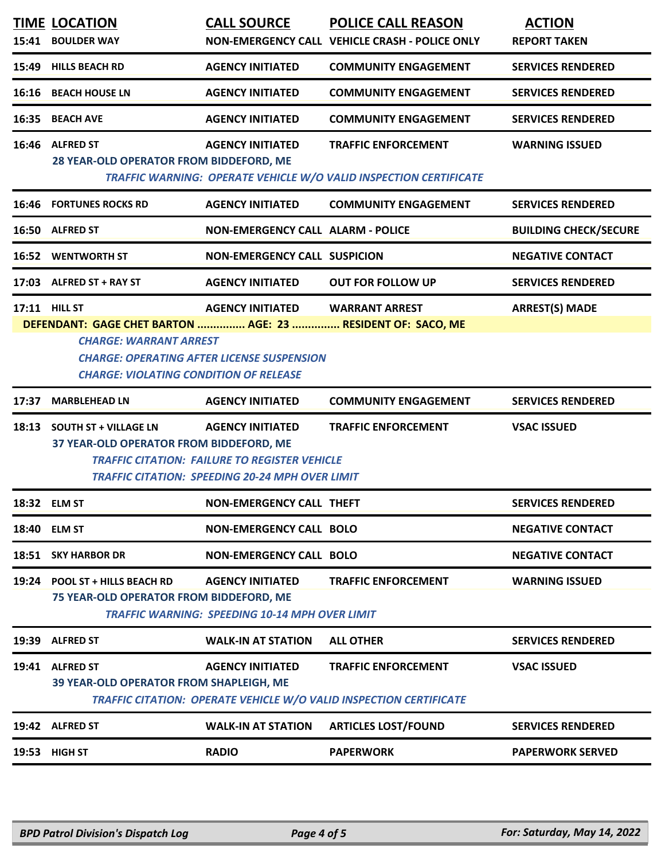|       | <b>TIME LOCATION</b><br>15:41 BOULDER WAY                                                                                                                                                                                                                                                        | <b>CALL SOURCE</b>                                                                                                                        | <b>POLICE CALL REASON</b><br>NON-EMERGENCY CALL VEHICLE CRASH - POLICE ONLY                             | <b>ACTION</b><br><b>REPORT TAKEN</b> |  |
|-------|--------------------------------------------------------------------------------------------------------------------------------------------------------------------------------------------------------------------------------------------------------------------------------------------------|-------------------------------------------------------------------------------------------------------------------------------------------|---------------------------------------------------------------------------------------------------------|--------------------------------------|--|
| 15:49 | <b>HILLS BEACH RD</b>                                                                                                                                                                                                                                                                            | <b>AGENCY INITIATED</b>                                                                                                                   | <b>COMMUNITY ENGAGEMENT</b>                                                                             | <b>SERVICES RENDERED</b>             |  |
| 16:16 | <b>BEACH HOUSE LN</b>                                                                                                                                                                                                                                                                            | <b>AGENCY INITIATED</b>                                                                                                                   | <b>COMMUNITY ENGAGEMENT</b>                                                                             | <b>SERVICES RENDERED</b>             |  |
| 16:35 | <b>BEACH AVE</b>                                                                                                                                                                                                                                                                                 | <b>AGENCY INITIATED</b>                                                                                                                   | <b>COMMUNITY ENGAGEMENT</b>                                                                             | <b>SERVICES RENDERED</b>             |  |
|       | 16:46 ALFRED ST<br>28 YEAR-OLD OPERATOR FROM BIDDEFORD, ME                                                                                                                                                                                                                                       | <b>AGENCY INITIATED</b>                                                                                                                   | <b>TRAFFIC ENFORCEMENT</b><br>TRAFFIC WARNING: OPERATE VEHICLE W/O VALID INSPECTION CERTIFICATE         | <b>WARNING ISSUED</b>                |  |
|       | <b>16:46 FORTUNES ROCKS RD</b>                                                                                                                                                                                                                                                                   | <b>AGENCY INITIATED</b>                                                                                                                   | <b>COMMUNITY ENGAGEMENT</b>                                                                             | <b>SERVICES RENDERED</b>             |  |
|       | 16:50 ALFRED ST                                                                                                                                                                                                                                                                                  | <b>NON-EMERGENCY CALL ALARM - POLICE</b>                                                                                                  |                                                                                                         | <b>BUILDING CHECK/SECURE</b>         |  |
|       | <b>16:52 WENTWORTH ST</b>                                                                                                                                                                                                                                                                        | <b>NON-EMERGENCY CALL SUSPICION</b>                                                                                                       |                                                                                                         | <b>NEGATIVE CONTACT</b>              |  |
|       | 17:03 ALFRED ST + RAY ST                                                                                                                                                                                                                                                                         | <b>AGENCY INITIATED</b>                                                                                                                   | <b>OUT FOR FOLLOW UP</b>                                                                                | <b>SERVICES RENDERED</b>             |  |
|       | <b>ARREST(S) MADE</b><br>17:11 HILL ST<br><b>AGENCY INITIATED</b><br><b>WARRANT ARREST</b><br>DEFENDANT: GAGE CHET BARTON  AGE: 23  RESIDENT OF: SACO, ME<br><b>CHARGE: WARRANT ARREST</b><br><b>CHARGE: OPERATING AFTER LICENSE SUSPENSION</b><br><b>CHARGE: VIOLATING CONDITION OF RELEASE</b> |                                                                                                                                           |                                                                                                         |                                      |  |
| 17:37 | <b>MARBLEHEAD LN</b>                                                                                                                                                                                                                                                                             | <b>AGENCY INITIATED</b>                                                                                                                   | <b>COMMUNITY ENGAGEMENT</b>                                                                             | <b>SERVICES RENDERED</b>             |  |
|       | 18:13 SOUTH ST + VILLAGE LN<br>37 YEAR-OLD OPERATOR FROM BIDDEFORD, ME                                                                                                                                                                                                                           | <b>AGENCY INITIATED</b><br><b>TRAFFIC CITATION: FAILURE TO REGISTER VEHICLE</b><br><b>TRAFFIC CITATION: SPEEDING 20-24 MPH OVER LIMIT</b> | <b>TRAFFIC ENFORCEMENT</b>                                                                              | <b>VSAC ISSUED</b>                   |  |
|       | 18:32 ELM ST                                                                                                                                                                                                                                                                                     | <b>NON-EMERGENCY CALL THEFT</b>                                                                                                           |                                                                                                         | <b>SERVICES RENDERED</b>             |  |
| 18:40 | <b>ELM ST</b>                                                                                                                                                                                                                                                                                    | <b>NON-EMERGENCY CALL BOLO</b>                                                                                                            |                                                                                                         | <b>NEGATIVE CONTACT</b>              |  |
| 18:51 | <b>SKY HARBOR DR</b>                                                                                                                                                                                                                                                                             | <b>NON-EMERGENCY CALL BOLO</b>                                                                                                            |                                                                                                         | <b>NEGATIVE CONTACT</b>              |  |
|       | 19:24 POOL ST + HILLS BEACH RD<br>75 YEAR-OLD OPERATOR FROM BIDDEFORD, ME                                                                                                                                                                                                                        | <b>AGENCY INITIATED</b><br><b>TRAFFIC WARNING: SPEEDING 10-14 MPH OVER LIMIT</b>                                                          | <b>TRAFFIC ENFORCEMENT</b>                                                                              | <b>WARNING ISSUED</b>                |  |
| 19:39 | <b>ALFRED ST</b>                                                                                                                                                                                                                                                                                 | <b>WALK-IN AT STATION</b>                                                                                                                 | <b>ALL OTHER</b>                                                                                        | <b>SERVICES RENDERED</b>             |  |
|       | 19:41 ALFRED ST<br>39 YEAR-OLD OPERATOR FROM SHAPLEIGH, ME                                                                                                                                                                                                                                       | <b>AGENCY INITIATED</b>                                                                                                                   | <b>TRAFFIC ENFORCEMENT</b><br><b>TRAFFIC CITATION: OPERATE VEHICLE W/O VALID INSPECTION CERTIFICATE</b> | <b>VSAC ISSUED</b>                   |  |
|       | 19:42 ALFRED ST                                                                                                                                                                                                                                                                                  | <b>WALK-IN AT STATION</b>                                                                                                                 | <b>ARTICLES LOST/FOUND</b>                                                                              | <b>SERVICES RENDERED</b>             |  |
| 19:53 | <b>HIGH ST</b>                                                                                                                                                                                                                                                                                   | <b>RADIO</b>                                                                                                                              | <b>PAPERWORK</b>                                                                                        | <b>PAPERWORK SERVED</b>              |  |